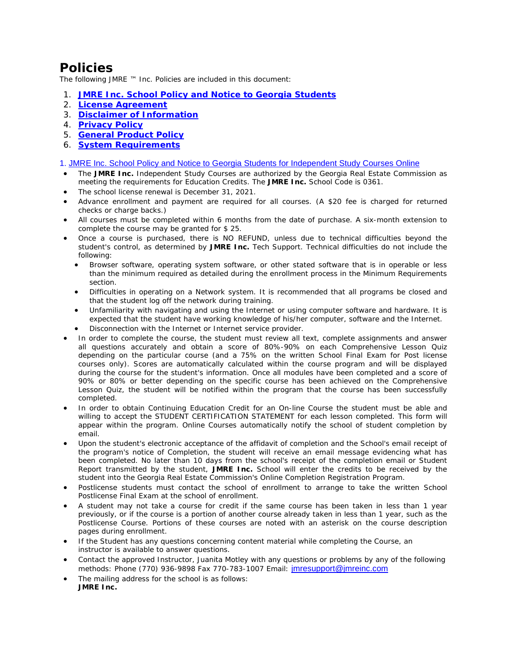# **Policies**

The following JMRE ™ Inc. Policies are included in this document:

- 1. **[JMRE Inc. School Policy and Notice to Georgia Students](#page-0-0)**
- 2. **[License Agreement](#page-1-0)**
- 3. **[Disclaimer of Information](#page-1-1)**
- 4. **[Privacy Policy](#page-2-0)**
- 5. **[General Product Policy](#page-1-2)**
- 6. **[System Requirements](#page-3-0)**

<span id="page-0-0"></span>[1. JMRE Inc. School Policy and Notice to Georgia Students for Independent Study Courses Online](#page-0-0) 

- The **JMRE Inc.** Independent Study Courses are authorized by the Georgia Real Estate Commission as meeting the requirements for Education Credits. The **JMRE Inc.** School Code is 0361.
- The school license renewal is December 31, 2021.
- Advance enrollment and payment are required for all courses. (A \$20 fee is charged for returned checks or charge backs.)
- All courses must be completed within 6 months from the date of purchase. A six-month extension to complete the course may be granted for \$ 25.
- Once a course is purchased, there is NO REFUND, unless due to technical difficulties beyond the student's control, as determined by **JMRE Inc.** Tech Support. Technical difficulties do not include the following:
	- Browser software, operating system software, or other stated software that is in operable or less than the minimum required as detailed during the enrollment process in the Minimum Requirements section.
	- Difficulties in operating on a Network system. It is recommended that all programs be closed and that the student log off the network during training.
	- Unfamiliarity with navigating and using the Internet or using computer software and hardware. It is expected that the student have working knowledge of his/her computer, software and the Internet.
	- Disconnection with the Internet or Internet service provider.
- In order to complete the course, the student must review all text, complete assignments and answer all questions accurately and obtain a score of 80%-90% on each Comprehensive Lesson Quiz depending on the particular course (and a 75% on the written School Final Exam for Post license courses only). Scores are automatically calculated within the course program and will be displayed during the course for the student's information. Once all modules have been completed and a score of 90% or 80% or better depending on the specific course has been achieved on the Comprehensive Lesson Quiz, the student will be notified within the program that the course has been successfully completed.
- In order to obtain Continuing Education Credit for an On-line Course the student must be able and willing to accept the STUDENT CERTIFICATION STATEMENT for each lesson completed. This form will appear within the program. Online Courses automatically notify the school of student completion by email.
- Upon the student's electronic acceptance of the affidavit of completion and the School's email receipt of the program's notice of Completion, the student will receive an email message evidencing what has been completed. No later than 10 days from the school's receipt of the completion email or Student Report transmitted by the student, **JMRE Inc.** School will enter the credits to be received by the student into the Georgia Real Estate Commission's Online Completion Registration Program.
- Postlicense students must contact the school of enrollment to arrange to take the written School Postlicense Final Exam at the school of enrollment.
- A student may not take a course for credit if the same course has been taken in less than 1 year previously, or if the course is a portion of another course already taken in less than 1 year, such as the Postlicense Course. Portions of these courses are noted with an asterisk on the course description pages during enrollment.
- If the Student has any questions concerning content material while completing the Course, an instructor is available to answer questions.
- Contact the approved Instructor, Juanita Motley with any questions or problems by any of the following methods: Phone (770) 936-9898 Fax 770-783-1007 Email: [jmresupport@jmreinc.com](mailto:jmresupport@jmreinc.com)
- The mailing address for the school is as follows: **JMRE Inc.**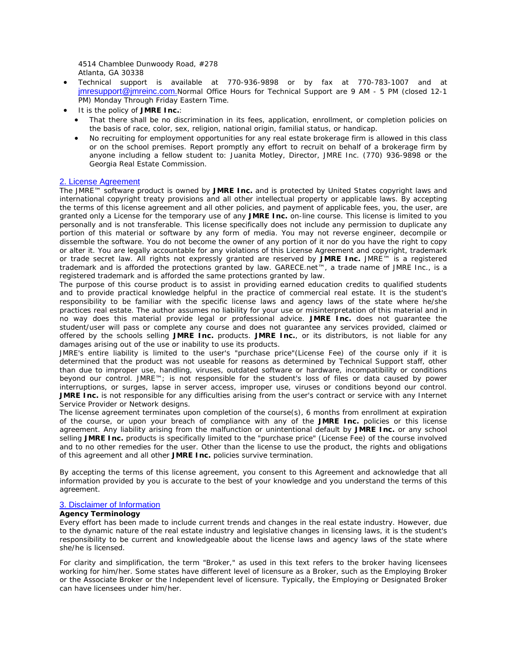4514 Chamblee Dunwoody Road, #278 Atlanta, GA 30338

- Technical support is available at 770-936-9898 or by fax at 770-783-1007 and at [jmresupport@jmreinc.com.](mailto:jmresupport@jmreinc.com)Normal Office Hours for Technical Support are 9 AM - 5 PM (closed 12-1 PM) Monday Through Friday Eastern Time.
- It is the policy of **JMRE Inc.**:
	- That there shall be no discrimination in its fees, application, enrollment, or completion policies on the basis of race, color, sex, religion, national origin, familial status, or handicap.
	- No recruiting for employment opportunities for any real estate brokerage firm is allowed in this class or on the school premises. Report promptly any effort to recruit on behalf of a brokerage firm by anyone including a fellow student to: Juanita Motley, Director, JMRE Inc. (770) 936-9898 or the Georgia Real Estate Commission.

#### <span id="page-1-0"></span>[2. License Agreement](#page-1-0)

The JMRE™ software product is owned by **JMRE Inc.** and is protected by United States copyright laws and international copyright treaty provisions and all other intellectual property or applicable laws. By accepting the terms of this license agreement and all other policies, and payment of applicable fees, you, the user, are granted only a License for the temporary use of any **JMRE Inc.** on-line course. This license is limited to you personally and is not transferable. This license specifically does not include any permission to duplicate any portion of this material or software by any form of media. You may not reverse engineer, decompile or dissemble the software. You do not become the owner of any portion of it nor do you have the right to copy or alter it. You are legally accountable for any violations of this License Agreement and copyright, trademark or trade secret law. All rights not expressly granted are reserved by **JMRE Inc.** JMRE™ is a registered trademark and is afforded the protections granted by law. GARECE.net™, a trade name of JMRE Inc., is a registered trademark and is afforded the same protections granted by law.

The purpose of this course product is to assist in providing earned education credits to qualified students and to provide practical knowledge helpful in the practice of commercial real estate. It is the student's responsibility to be familiar with the specific license laws and agency laws of the state where he/she practices real estate. The author assumes no liability for your use or misinterpretation of this material and in no way does this material provide legal or professional advice. **JMRE Inc.** does not guarantee the student/user will pass or complete any course and does not guarantee any services provided, claimed or offered by the schools selling **JMRE Inc.** products. **JMRE Inc.**, or its distributors, is not liable for any damages arising out of the use or inability to use its products.

JMRE's entire liability is limited to the user's "purchase price"(License Fee) of the course only if it is determined that the product was not useable for reasons as determined by Technical Support staff, other than due to improper use, handling, viruses, outdated software or hardware, incompatibility or conditions beyond our control. JMRE™; is not responsible for the student's loss of files or data caused by power interruptions, or surges, lapse in server access, improper use, viruses or conditions beyond our control. **JMRE Inc.** is not responsible for any difficulties arising from the user's contract or service with any Internet Service Provider or Network designs.

The license agreement terminates upon completion of the course(s), 6 months from enrollment at expiration of the course, or upon your breach of compliance with any of the **JMRE Inc.** policies or this license agreement. Any liability arising from the malfunction or unintentional default by **JMRE Inc.** or any school selling **JMRE Inc.** products is specifically limited to the "purchase price" (License Fee) of the course involved and to no other remedies for the user. Other than the license to use the product, the rights and obligations of this agreement and all other **JMRE Inc.** policies survive termination.

By accepting the terms of this license agreement, you consent to this Agreement and acknowledge that all information provided by you is accurate to the best of your knowledge and you understand the terms of this agreement.

## <span id="page-1-2"></span><span id="page-1-1"></span>3. [Disclaimer of Information](#page-1-1)

# **Agency Terminology**

Every effort has been made to include current trends and changes in the real estate industry. However, due to the dynamic nature of the real estate industry and legislative changes in licensing laws, it is the student's responsibility to be current and knowledgeable about the license laws and agency laws of the state where she/he is licensed.

For clarity and simplification, the term "Broker," as used in this text refers to the broker having licensees working for him/her. Some states have different level of licensure as a Broker, such as the Employing Broker or the Associate Broker or the Independent level of licensure. Typically, the Employing or Designated Broker can have licensees under him/her.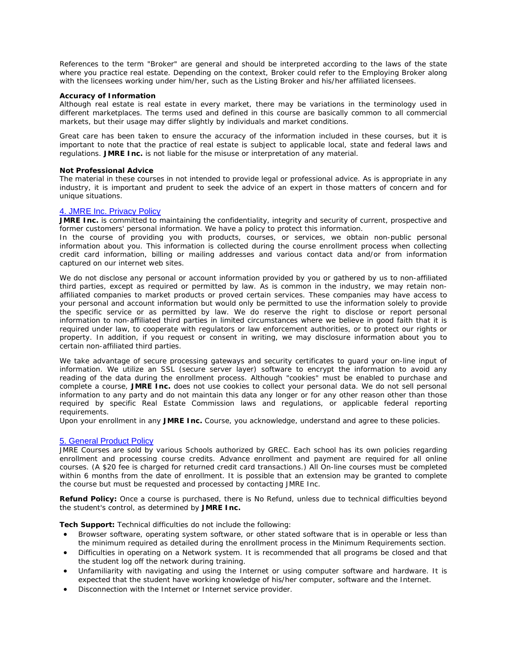References to the term "Broker" are general and should be interpreted according to the laws of the state where you practice real estate. Depending on the context, Broker could refer to the Employing Broker along with the licensees working under him/her, such as the Listing Broker and his/her affiliated licensees.

#### **Accuracy of Information**

Although real estate is real estate in every market, there may be variations in the terminology used in different marketplaces. The terms used and defined in this course are basically common to all commercial markets, but their usage may differ slightly by individuals and market conditions.

Great care has been taken to ensure the accuracy of the information included in these courses, but it is important to note that the practice of real estate is subject to applicable local, state and federal laws and regulations. **JMRE Inc.** is not liable for the misuse or interpretation of any material.

#### **Not Professional Advice**

The material in these courses in not intended to provide legal or professional advice. As is appropriate in any industry, it is important and prudent to seek the advice of an expert in those matters of concern and for unique situations.

## <span id="page-2-0"></span>[4. JMRE Inc. Privacy Policy](#page-2-0)

**JMRE Inc.** is committed to maintaining the confidentiality, integrity and security of current, prospective and former customers' personal information. We have a policy to protect this information.

In the course of providing you with products, courses, or services, we obtain non-public personal information about you. This information is collected during the course enrollment process when collecting credit card information, billing or mailing addresses and various contact data and/or from information captured on our internet web sites.

We do not disclose any personal or account information provided by you or gathered by us to non-affiliated third parties, except as required or permitted by law. As is common in the industry, we may retain nonaffiliated companies to market products or proved certain services. These companies may have access to your personal and account information but would only be permitted to use the information solely to provide the specific service or as permitted by law. We do reserve the right to disclose or report personal information to non-affiliated third parties in limited circumstances where we believe in good faith that it is required under law, to cooperate with regulators or law enforcement authorities, or to protect our rights or property. In addition, if you request or consent in writing, we may disclosure information about you to certain non-affiliated third parties.

We take advantage of secure processing gateways and security certificates to guard your on-line input of information. We utilize an SSL (secure server layer) software to encrypt the information to avoid any reading of the data during the enrollment process. Although "cookies" must be enabled to purchase and complete a course, **JMRE Inc.** does not use cookies to collect your personal data. We do not sell personal information to any party and do not maintain this data any longer or for any other reason other than those required by specific Real Estate Commission laws and regulations, or applicable federal reporting requirements.

Upon your enrollment in any **JMRE Inc.** Course, you acknowledge, understand and agree to these policies.

#### 5. [General Product Policy](#page-1-2)

JMRE Courses are sold by various Schools authorized by GREC. Each school has its own policies regarding enrollment and processing course credits. Advance enrollment and payment are required for all online courses. (A \$20 fee is charged for returned credit card transactions.) All On-line courses must be completed within 6 months from the date of enrollment. It is possible that an extension may be granted to complete the course but must be requested and processed by contacting JMRE Inc.

**Refund Policy:** Once a course is purchased, there is No Refund, unless due to technical difficulties beyond the student's control, as determined by **JMRE Inc.**

**Tech Support:** Technical difficulties do not include the following:

- Browser software, operating system software, or other stated software that is in operable or less than the minimum required as detailed during the enrollment process in the Minimum Requirements section.
- Difficulties in operating on a Network system. It is recommended that all programs be closed and that the student log off the network during training.
- Unfamiliarity with navigating and using the Internet or using computer software and hardware. It is expected that the student have working knowledge of his/her computer, software and the Internet.
- Disconnection with the Internet or Internet service provider.